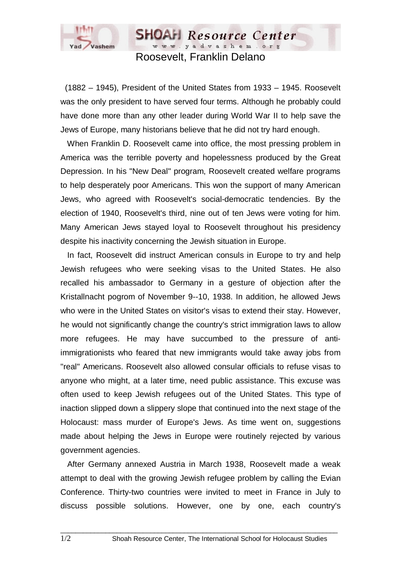

Roosevelt, Franklin Delano

**SHOAH** Resource Center www.yadvashem.org

 (1882 – 1945), President of the United States from 1933 – 1945. Roosevelt was the only president to have served four terms. Although he probably could have done more than any other leader during World War II to help save the Jews of Europe, many historians believe that he did not try hard enough.

 When Franklin D. Roosevelt came into office, the most pressing problem in America was the terrible poverty and hopelessness produced by the Great Depression. In his "New Deal" program, Roosevelt created welfare programs to help desperately poor Americans. This won the support of many American Jews, who agreed with Roosevelt's social-democratic tendencies. By the election of 1940, Roosevelt's third, nine out of ten Jews were voting for him. Many American Jews stayed loyal to Roosevelt throughout his presidency despite his inactivity concerning the Jewish situation in Europe.

 In fact, Roosevelt did instruct American consuls in Europe to try and help Jewish refugees who were seeking visas to the United States. He also recalled his ambassador to Germany in a gesture of objection after the Kristallnacht pogrom of November 9--10, 1938. In addition, he allowed Jews who were in the United States on visitor's visas to extend their stay. However, he would not significantly change the country's strict immigration laws to allow more refugees. He may have succumbed to the pressure of antiimmigrationists who feared that new immigrants would take away jobs from "real" Americans. Roosevelt also allowed consular officials to refuse visas to anyone who might, at a later time, need public assistance. This excuse was often used to keep Jewish refugees out of the United States. This type of inaction slipped down a slippery slope that continued into the next stage of the Holocaust: mass murder of Europe's Jews. As time went on, suggestions made about helping the Jews in Europe were routinely rejected by various government agencies.

 After Germany annexed Austria in March 1938, Roosevelt made a weak attempt to deal with the growing Jewish refugee problem by calling the Evian Conference. Thirty-two countries were invited to meet in France in July to discuss possible solutions. However, one by one, each country's

 $\_$  ,  $\_$  ,  $\_$  ,  $\_$  ,  $\_$  ,  $\_$  ,  $\_$  ,  $\_$  ,  $\_$  ,  $\_$  ,  $\_$  ,  $\_$  ,  $\_$  ,  $\_$  ,  $\_$  ,  $\_$  ,  $\_$  ,  $\_$  ,  $\_$